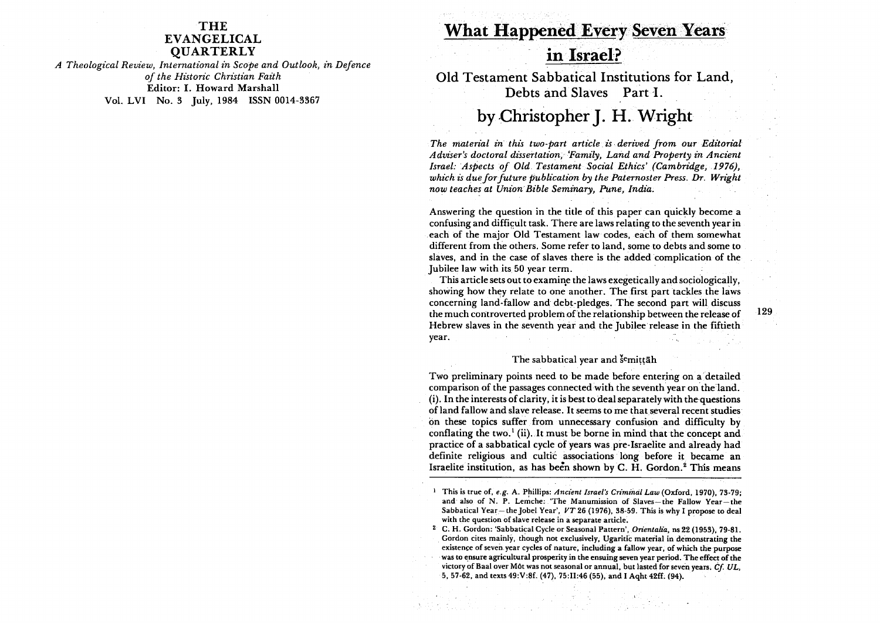## THE EVANGELICAL **OUARTERLY**

*A Theological Review, International in Scope and Outlook, in Defence of the Historic Christian Faith*  Editor: I. Howard Marshall Vol. LVI No. 3 July, 1984 ISSN 0014·3367

# What Happened Every Seven Years

# in Israel?

Old Testament Sabbatical Institutions for Land, Debts and Slaves Part I.

# by Christopher J. H. Wright

*The material in this two-part article is· derived from our Editorial Adviser's doctoral dissertation,'Family, Land and Property in Ancient Israel: Aspects of Old. Testament Social Ethics' (Cambridge, 1976), which is duefor future publication by the Paternoster Press. Dr. Wright now teaches at Union Bible Seminary, Pune, India.* 

Answering the question in the title of this paper can quickly become a confusing and difficult task. There are laws relating to the seventh year in .each of the major Old Testament law codes, each of them somewhat different from the others. Some refer to land, some to debts and some to slaves, and in the case of slaves there is the added complication of the Jubilee law with its 50 year term.

This article sets out to examine the laws exegetically and sociologically, showing how they relate to one another. The first part tackles the laws concerning land-fallow and debt-pledges. The second part will discuss the much controverted problem of the relationship between the release of Hebrew slaves in the seventh year and the Jubilee release in the fiftieth year.

#### The sabbatical year and semittah

Two preliminary points need to be made before entering on a detailed comparison of the passages connected with the seventh year on the land. (i). In the interests of clarity, it is best to deal separately with the· questions of land fallow and slave release. It seems to me thatseveral recent studies on these topics suffer from unnecessary confusion and difficulty by conflating the two. $<sup>1</sup>$  (ii). It must be borne in mind that the concept and</sup> practice of a sabbatical cycle of years was pre-Israelite and already had definite religious and cultic associations long before it became an Israelite institution, as has been shown by C. H. Gordon.<sup>2</sup> This means 129

<sup>&</sup>lt;sup>1</sup> This is true of, *e.g. A. Phillips: Ancient Israel's Criminal Law* (Oxford, 1970), 73-79; and also of N. P. Lemche: 'The Manumission of Slaves-the Fallow Year-the Sabbatical Year- the Jobel Year', *VT* 26 (1976), 3S-59. This is why I propose to deal with the question of slave release in a separate article.

<sup>2</sup> C. H. Gordon: 'Sabbatical Cycle or Seasonal Pattern', *Orientalia,* ns 22 (1953), 79-S1. Gordon cites mainly, though not exclusively, Ugaritic material in demonstrating the existence of seven. year cycles of nature, including a fallow year, of which the purpose was to ensure agricultural prosperity in the ensuing seven year period. The effect of the victory of Baal over Môt was not seasonal or annual, but lasted for seven years. *Cf. UL*, 5,57-62, and texts 49:V:Sf. (47). 75:11:46 (55), and I Aqht 42ft (94).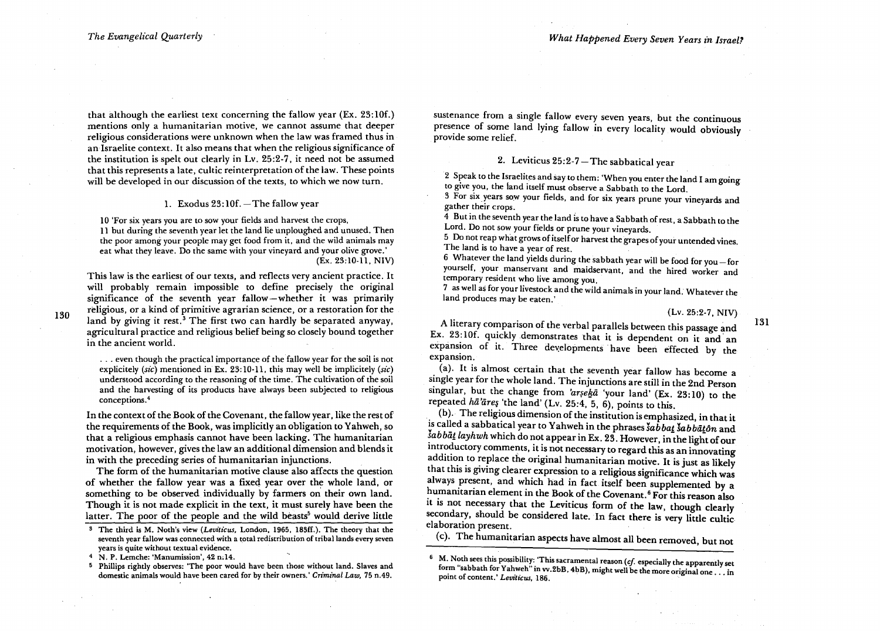130

that although the earliest text concerning the fallow year (Ex. 23:10f.) mentions only a humanitarian motive, we cannot assume that deeper religious considerations were unknown when the law was framed thus in an Israelite context. It also means that when the religious significance of the institution is spelt out clearly in Lv. 25 :2-7, it need not be assumed that this represents a late, cultic reinterpretation of the law. These points will be developed in our discussion of the texts, to which we now turn.

#### 1. Exodus  $23:10f.$  - The fallow year

10 'For six years you are to sow your fields and harvest the crops, 11 but during the seventh year let the land lie unploughed and unused. Then the poor among your people may get food from it, and the wild animals may eat what they leave. Do the same with your vineyard and your olive grove.' (Ex. 23:10-11, NIV)

This law is the earliest of our texts, and reflects very ancient practice. It will probably remain impossible to define precisely the original significance of the seventh year fallow-whether it was primarily religious, or a kind of primitive agrarian science, or a restoration for the land by giving it rest.<sup>3</sup> The first two can hardly be separated anyway, agricultural practice and religious belief being so closely bound together in the ancient world.

. . . even though the practical importance of the fallow year for the soil is not explicitely *(sic)* mentioned in Ex. 23: 10-11, this may well be implicitely *(sic)*  understood according to the reasoning of the time. The cultivation of the soil and the harvesting of its products have always been subjected to religious conceptions.4

In the context of the Book of the Covenant, the fallow year, like the rest of the requirements of the Book, was implicitly an obligation to Yahweh, so that a religious emphasis cannot have been lacking. The humanitarian motivation, however, gives the law an additional dimension and blends it in with the preceding series of humanitarian injunctions.

The form of the humanitarian motive clause also affects the question of whether the fallow year was a fixed year over the whole land, or something to be observed individually by farmers on their own land. Though it is not made explicit in the text, it must surely have been the latter. The poor of the people and the wild beasts<sup>5</sup> would derive little

4 N. P. Lemche: 'Manumission', 42 n;14.

sustenance from a single fallow every seven years, but the continuous presence of some land lying fallow in every locality would obviously provide some relief.

# 2. Leviticus  $25:2-7$  – The sabbatical year

2 Speak to the Israelites and say to them: 'When you enter the land I am going to give you, the land itself must observe a Sabbath to the Lord.

3 For six years sow your fields, and for six years prune your vineyards and gather their crops.

4 But in the seventh year the land is to have a Sabbath of rest, a Sabbath to the Lord. Do not sow your fields or prune your vineyards.

5 Do not reap what grows of itself or harvest the grapes of your untended vines. The land is to have a year of rest.

6 Whatever the land yields during the sabbath year will be food for you  $-$  for yourself, your manservant and maidservant, and the hired worker and temporary resident who live among you,

7 as well as for your livestock and the wild animals in your land. Whatever the land produces may be eaten.'

(Lv. 25:2-7, NIV)

131

A literary comparison of the verbal parallels between this passage and Ex. 23:10f. quickly demonstrates that it is dependent on it and an expansion of it. Three developments have been effected by the expansion.

. (a). It is almost certain that the seventh year fallow has become a single year for the whole land. The injunctions are still in the 2nd Person singular, but the change from 'arseka 'your land' (Ex. 23:10) to the repeated  $h\bar{a}'\bar{a}r e_5$  'the land' (Lv. 25:4, 5, 6), points to this.

(b). The religious dimension of the institution is emphasized, in that it is called a sabbatical year to Yahweh in the phrases *šabbat šabbāton* and šabbāt layhwh which do not appear in Ex. 23. However, in the light of our introductory comments, it is not necessary to regard this as an innovating addition to replace the original humanitarian motive. It is just as likely that this is giving clearer expression to a religious significance which was always present, and which had in fact itself been supplemented by a humanitarian element in the Book of the Covenant.<sup>6</sup> For this reason also it is not necessary that the Leviticus form of the law, though clearly secondary, should be considered late. In fact there is very little cultic elaboration present.

(c). The humanitarian aspects have almost all been removed, but not

S The third is M. Noth's view *(Leviticus,* London, 1965, 183ff.). The theory that the seventh year falJow was connected with a total redistribution of tribal lands every seven years is quite without textual evidence.

<sup>5</sup> Phillips rightly observes: 'The poor would have been those without land. Slaves and domestic animals would have been cared for by their owners.' *Criminal Law,* 75 n,49.

<sup>6</sup> M. Noth sees this possibility: 'This sacramental reason *(cf* especialJy the apparently set form "sabbath for Yahweh" in vv.2bB, 4bB), might well be the more original one ... in point of content.' Leviticus, 186.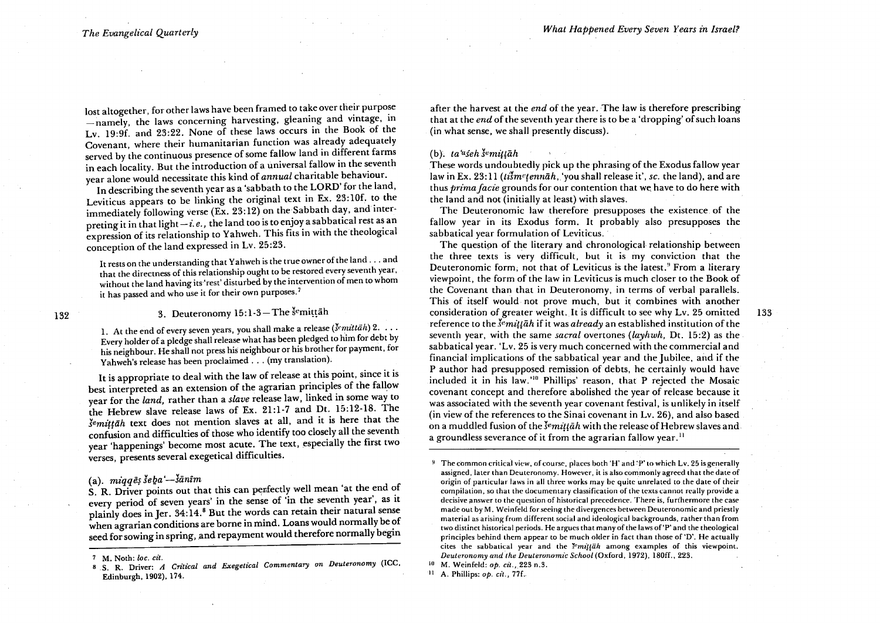133

lost altogether, for other laws have been framed to take over their purpose -namely, the laws concerning harvesting, gleaning and vintage, in Lv. 19:9f. and 23:22. None of these laws occurs in the Book of the Covenant, where their humanitarian function was already adequately served by the continuous presence of some fallow land in different farms in each locality. But the introduction of a universal fallow in the seventh year alone would necessitate this kind of *annual* charitable behaviour.

In describing the seventh year as a 'sabbath to the LORD' for the land, Leviticus appears to be linking the original text in Ex. 23:10f. to the immediately following verse (Ex. 23:12) on the Sabbath day, and interpreting it in that light  $-i.e.,$  the land too is to enjoy a sabbatical rest as an expression of its relationship to Yahweh. This fits in with the theological conception of the land expressed in Lv. 25:23.

It rests on the understanding that Yahweh is the true owner of the land ... and that the directness of this relationship ought to be restored every seventh year. without the land having its 'rest' disturbed by the intervention of men to whom it has passed and who use it for their own purposes.<sup>7</sup>

# 3. Deuteronomy  $15:1-3$ -The semittah

1. At the end of every seven years, you shall make a release *(Jemittiih)* 2 .... Every holder of a pledge shall release what has been pledged to him for debt by his neighbour. He shall not press his neighbour or his brother for payment. for Yahweh's release has been proclaimed ... (my translation).

It is appropriate to deal with the law of release at this point, since it is best interpreted as an extension of the agrarian principles of the fallow year for the *land,* rather than a *slave* release law, linked in some way to the Hebrew slave release laws of Ex. 21:1-7 and Dt. 15:12-18. The *šemittāh* text does not mention slaves at all, and it is here that the confusion and difficulties of those who identify too closely all the seventh year 'happenings' become most acute. The text, especially the first two verses, presents several exegetical difficulties.

# (a).  $m i q q \tilde{e}$ s še $b a'$ - šānîm

S. R. Driver points out that this can perfectly well mean 'at the end of every period of seven years' in the sense of 'in the seventh year', as it plainly does in Jer. 34:14.<sup>8</sup> But the words can retain their natural sense when agrarian conditions are borne in mind. Loans would normally be of seed for sowing in spring, and repayment would therefore normally begin after the harvest at the *end* of the year. The law is therefore prescribing that at the *end* of the seventh year there is to be a 'dropping' of such loans (in what sense, we shall presently discuss).

## $(b)$ .  $ta<sup>u</sup>$  *seh*  $\varepsilon$ <sup>*emittah*</sup>

These words undoubtedly pick up the phrasing of the Exodus fallow year law in Ex. 23:11 *(tism<sup>etennah, 'you shall release it', sc. the land)*, and are</sup> thus *prima facie* grounds for our contention that we have to do here with the land and not (initially at least) with slaves.

The Deuteronomic law therefore presupposes the existence of the fallow year in its Exodus form. It probably also presupposes the sabbatical year formulation of Leviticus.

The question of the literary and chronological relationship between the three texts is very difficult, but it is my conviction that the Deuteronomic form, not that of Leviticus is the latest.<sup>9</sup> From a literary viewpoint, the form of the law in Leviticus is much closer to the Book of the Covenant than that in Deuteronomy, in terms of verbal parallels. This of itself would not prove much, but it combines with another consideration of greater weight. It 'is difficult to see why Lv. 25 omitted reference to the *J"mit/ah* if it was *already* an established institution of the seventh year, with the same *sacral* overtones *(layhwh,* Dt. 15:2) as the sabbatical year. 'Lv. 25 is very much concerned with the commercial and financial implications of the sabbatical year and the Jubilee. and if the P author had presupposed remission of debts. he certainly would have included it in his law.'<sup>10</sup> Phillips' reason, that P rejected the Mosaic covenant concept and therefore abolished the year of release because it was associated with the seventh year covenant festival. is unlikely in itself (in view of the references to the Sinai covenant in Lv. 26), and also based on a muddled fusion of the *s<sup>e</sup>mittah* with the release of Hebrew slaves and a groundless severance of it from the agrarian fallow year.<sup>11</sup>

132

<sup>7</sup> M. Noth: *loco cit.* 8 S. R. Driver: *A Critical and Exegetical Commentary on Deuteronomy* (ICC. Edinburgh. 1902), 174.

<sup>9</sup> The common critica'l view. of course. places both 'H' and :p' to which Lv. 25 is generally assigned. later than Deuteronomy. However. it is also commonly agreed that the date of origin of particular laws in all three works may be quite unrelated to the date of their compilation. so that the documentary classification of the texts cannot really provide a decisive answer to the question of historical precedence. There is, furthermore the case made out by M. Weinfeld for seeing the divergences between Deuteronomic and priestly material as arising from different social and ideological backgrounds. rather than from two distinct historical periods. He argues that many of the laws of'P' and the theological principles behind them appear to be much older in fact than those of 'D'. He actually cites the sabbatical year and the *r"m'!!iih* among examples of this viewpoint. *Deuteronomy and the Deuteronomic School* (Oxford. 1972). 180f£.. 223.

<sup>10</sup> M. Weinfeld: *op. cit.,* 223 n.3.

<sup>11</sup> A. Phillips: *op. cit.,* 77f..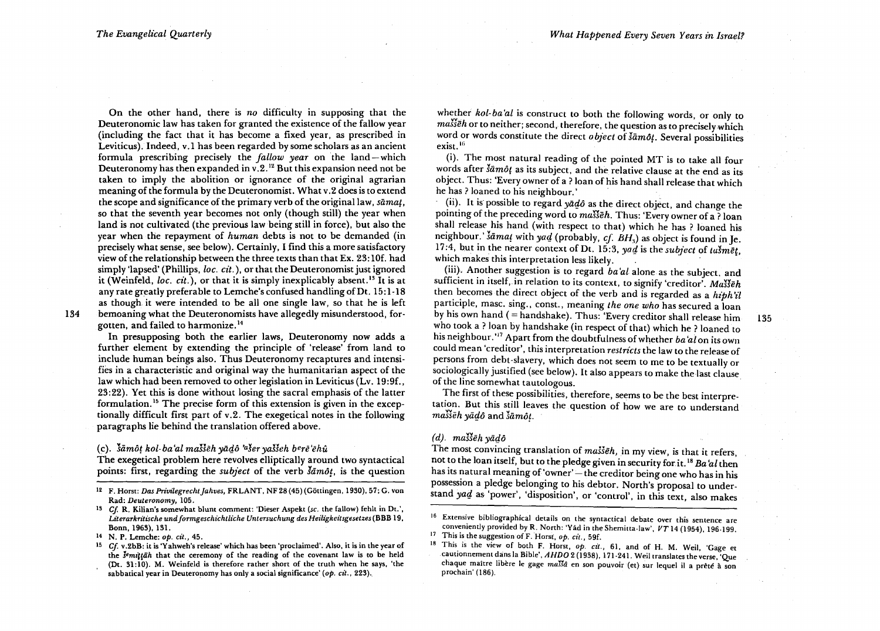135

On the other hand, there is *no* difficulty in supposing that the Deuteronomic law has taken for granted the existence of the fallow year (including the fact that it has become a fixed year, as prescribed in Leviticus). Indeed, v.l has been regarded by some scholars as an ancient formula prescribing precisely the *fallow year* on the land-which Deuteronomy has then expanded in v.2.<sup>12</sup> But this expansion need not be taken to imply the abolition or ignorance of the original agrarian meaning of the formula by the Deuteronomist. What v. 2 does is to extend the scope and significance of the primary verb of the original law, *sāmat*, so that the seventh year becomes not only (though still) the year when land is not cultivated (the previous law being still in force), but also the year when the repayment of *human* debts is not to be demanded (in precisely what sense, see below). Certainly, I find this a more satisfactory view of the relationship between the three texts than that Ex. 23: 10f. had simply 'lapsed' (Phillips, *loc. cit.*), or that the Deuteronomist just ignored it (Weinfeld, *loc. cit.*), or that it is simply inexplicably absent.<sup>13</sup> It is at any rate greatly preferable to Lemche's confused handlingofDt. 15:1-18 as though it were intended to be all one single law, so that he is left bemoaning what the Deuteronomists have allegedly misunderstood, for-

134

gotten, and failed to harmonize. 14 In presupposing both the earlier laws, Deuteronomy now adds a further element by extending the principle of 'release' from land to include human beings also. Thus Deuteronomy recaptures and intensifies in a characteristic and original way the humanitarian aspect of the law which had been removed to other legislation in Leviticus (Lv. 19:9f., 23:22). Yet this is done without losing the sacral emphasis of the latter

formulation. 15 The precise form of this extension is given in the exceptionally difficult first part of v.2. The exegetical notes in the following paragraphs lie behind the translation offered above.

#### (c). *liimo/ kol- ba 'al masseh ylirjo 'aser yaJseh bere 'ehU*

The exegetical problem here revolves elliptically around two syntactical points: first, regarding the *subject* of the verb  $\delta \bar{a}$ *môt*, is the question

whether *kol-ba'at* is construct to both the following words, or only to *masseh* or to neither; second, therefore, the question as to precisely which word or words constitute the direct *object* of  $\delta \bar{a}m\partial t$ . Several possibilities exist.<sup>16</sup>

(i). The most natural reading of the pointed MT is to take all four words after *šāmôt* as its subject, and the relative clause at the end as its object. Thus: 'Every owner of a ? loan of his hand shall release that which he has? loaned to his neighbour.'

ii). It is possible to regard *yadô* as the direct object, and change the pointing of the preceding word to *ma.Heh.* Thus: 'Every owner of a ? loan shall release his hand (with respect to that) which he has? loaned his neighbour.' *samat* with *yad* (probably, *cf. BH*<sub>3</sub>) as object is found in Je. 17:4, but in the nearer context of Dt. 15:3,  $\frac{v}{v}$  is the *subject* of tusmet. which makes this interpretation less likely.

(iii). Another suggestion is to regard *ba'at* alone as the subject, and sufficient in itself, in relation to its context, to signify 'creditor'. *Masseh*  then becomes the direct object of the verb and is regarded as a *hiph'il* participle, masc. sing., const., meaning *the one who* has secured a loan by his own hand (= handshake). Thus: 'Every creditor shall release him who took a ? loan by handshake (in respect of that) which he ? loaned to his neighbour.<sup>'17</sup> Apart from the doubtfulness of whether *ba'al* on its own could mean 'creditor', this interpretation *restricts* the law to the release of persons from debt-slavery, which does not seem to me to be textually or sociologically justified (see below). It also appears to make the last clause of the line somewhat tautologous. .

The first of these possibilities, therefore, seems to be the best interpretation. But this still leaves the question of how we are to understand masseh yadô and samôt.

## $(d)$ . masseh yādô

The most convincing translation of *masseh,* in my view, is that it refers, not to the loan itself, but to the pledge given in security forit. 18 *Ba* 'at then has its natural meaning of 'owner' - the creditor being one who has in his possession a pledge belonging to his debtor. North's proposal to understand *yad* as 'power', 'disposition', or 'control', in this text, also makes

<sup>&</sup>lt;sup>12</sup> F. Horst: *Das Privilegrecht Jahves, FRLANT*, NF 28 (45) (Göttingen, 1930), 57; G. von Rad: *Deuteronomy, 105.* 

*<sup>13</sup> Cf* R. Kilian's somewhat blunt comment: 'Dieser Aspekt *(se.* the fallow) fehlt in Dt.', Literarkritische und formgeschichtliche Untersuchung des Heiligkeitsgesetzes (BBB 19, Bonn, 1963), 131.

<sup>14</sup> N. P. Lemche: *op. cit.,* 45.

<sup>15</sup>*Cf* v.2bB: it is 'Yahweh's release' which has been 'proclaimed'. Also, it is in the year of the  $\delta$ <sup>e</sup>mittah that the ceremony of the reading of the covenant law is to be held (Dt. 31: IQ). M. Weinfeld is therefore rather short of the truth when he says, 'the

sabbatical year in Deuteronomy has only a social significance' (op. *cit.*, 223).

<sup>16</sup> Extensive bibliographical details on the syntactical debate over this sentence are conveniently provided by R. North: 'Yad in the Shemitta-law',  $VT$  14 (1954), 196-199.

<sup>17</sup> This is the suggestion ofF. Horst, *op. eit.,* 59£.

<sup>18</sup> This is the view of both F. Horst, op. cit., 61, and of H. M. Weil, 'Gage et cautionnement dans la Bible', *AHDO* 2 (1938), 171-241. Weiltranslates the verse, 'Que chaque maitre libère le gage *malisa* en son pouvoir (et) sur lequel il a prêté à son<br>prochain' (186).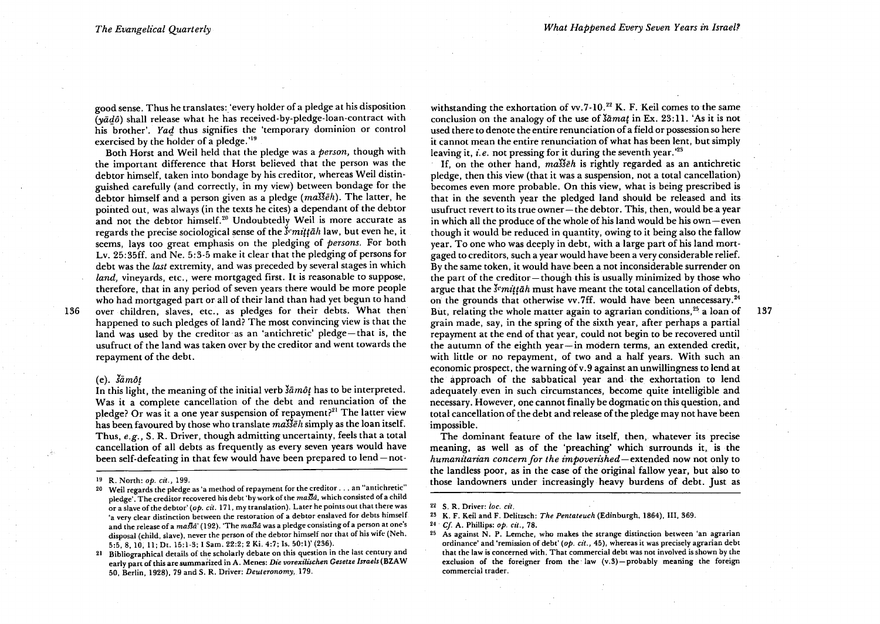good sense. Thus he translates: 'every holder of a pledge at his disposition  $(y\bar{a}d\hat{o})$  shall release what he has received-by-pledge-loan-contract with his brother'. Yad thus signifies the 'temporary dominion or control exercised by the holder of a pledge. '19

Both Horst and Weil held that the pledge was a *person,* though with the important difference that Horst believed that the person was the debtor himself, taken into bondage by his creditor, whereas Weil distinguished carefully (and correctly, in my view) between bondage for the debtor himself and a person given as a pledge (ma<sup>yb</sup>eh). The latter, he pointed out, was always (in the texts he cites) a dependant of the debtor and not the debtor himself.<sup>20</sup> Undoubtedly Weil is more accurate as regards the precise sociological sense of the *l'mittah* law, but even he, it seems, lays too great emphasis on the pledging of *persons.* For both Lv. 25:35ff. and Ne. 5:3-5 make it clear that the pledging of persons for debt was the *last* extremity, and was preceded by several stages in which *land, vinevards, etc., were mortgaged first. It is reasonable to suppose,* therefore, that in any period of seven years there would be more people who had mortgaged part or all of their land than had yet begun to hand over children, slaves, etc., as pledges for their debts. What then happened to such pledges of land? The most convincing view is that the land was used by the creditor as an 'antichretic' pledge-that is, the usufruct of the land was taken over by the creditor and went towards the repayment of the debt.

#### $(e)$ .  $\xi \bar{a} m \hat{o} t$

136

In this light, the meaning of the initial verb  $\delta \tilde{a} m \tilde{\partial} t$  has to be interpreted. Was it a complete cancellation of the debt and renunciation of the pledge? Or was it a one year suspension of repayment?<sup>21</sup> The latter view has been favoured by those who translate *ma*<sup>33</sup> $\bar{e}h$  simply as the loan itself. Thus, *e.g.,* S. R. Driver, though admitting uncertainty, feels that a total cancellation of all debts as frequently as every seven years would have been self-defeating in that few would have been prepared to lend-notwithstanding the exhortation of vv.  $7-10.^{22}$  K. F. Keil comes to the same conclusion on the analogy of the use of *lamat* in Ex. 23:11. 'As it is not used there to denote the entire renunciation of a field or possession so here it cannot mean the entire renunciation of what has been lent, but simply leaving it, *i.e.* not pressing for it during the seventh year.<sup>23</sup>

If, on the other hand, *ma*<sup>33</sup> $\bar{e}h$  is rightly regarded as an antichretic pledge, then this view (that it was a suspension, not a total cancellation) becomes even more probable. On this view, what is being prescribed is that in the seventh year the pledged land should be released and its usufruct revert to its true owner-the debtor. This, then, would bea year in which all the produce of the whole of his land would be his own  $-$  even though it would be reduced in quantity, owing to it being also the fallow year. To one who was deeply in debt, with a large part of his land mortgaged to creditors, such a year would have been a very considerable relief. By the same token, it would have been a not inconsiderable surrender on the part of the creditor-though this is usually minimized by those who argue that the *s<sup>e</sup>mittah* must have meant the total cancellation of debts, on the grounds that otherwise vv.7ff. would have been unnecessary.<sup>24</sup> But, relating the whole matter again to agrarian conditions,<sup>25</sup> a loan of grain made, say, in the spring of the sixth year, after perhaps a partial repayment at the end of that year, could not begin to be recovered until the autumn of the eighth year-in modern terms, an extended credit, with little or no repayment, of two and a half years. With such an economic prospect, the warning of v.9 against an unwillingness to lend at the approach of the sabbatical year and the exhortation to lend adequately even in such circumstances, become quite intelligible and necessary. However, one cannot finally be dogmatic on this question, and total cancellation of the debt and release of the pledge may not have been impossible. .

The dominant feature of the law itself, then, whatever its precise meaning, as well as of the 'preaching' which surrounds it, is the *humam'tarian concern for the impoverished-extended* now not only to the landless poor, as in the case of the original fallow year, but also to those landowners under increasingly heavy burdens of debt. Just as 137

<sup>19</sup> R. North: *op. eit., 199.* 

<sup>20</sup> Weil regards the pledge as 'a method of repayment for the creditor ... an "antichretic" pledge'. The creditor recovered his debt 'by work of the massa, which consisted of a child or a slave ofthe debtor' *(op. cit.* 171, my translation). Later he points out that there was 'a very clear distinction between the restoration of a debtor enslaved for debts himself and the release of a masta' (192). The masta was a pledge consisting of a person at one's disposal (child, slave), never the person of the debtor himself nor that of his wife (Neh. 5:5, 8, 10, 11; Dt. 15:1-3; I Sam. 22:2; 2 Ki. 4:7; Is. 50:1)' (236).

<sup>21</sup> Bibliographical details of the scholarly debate on this question in the last century and early part of this are summarized in A. Menes: *Die vorexilischen Gesetze /sraeis* (BZA W 50, Berlin, 1928), 79 and S. R. Driver: *Deuteronomy, 179.* 

<sup>22</sup> S. R. Driver: *ioe. cit.* 

<sup>2~</sup> K. F. Keil and F. Delitzsch: *The Pentateuch* (Edinburgh, 1864), Ill, 369.

<sup>24&#</sup>x27; *Cl* A. Phillips: *op. eit., 78.* 

<sup>25</sup> As against N. P. Lemche, who makes the strange distinction between 'an agrarian ordinance' and 'remission of debt' *(op. cit.,* 45), whereas it was precisely agrarian debt that the law is concerned with. That commercial debt was not involved is shown by the exclusion of the foreigner from the law  $(v.3)$ -probably meaning the foreign commercial trader.